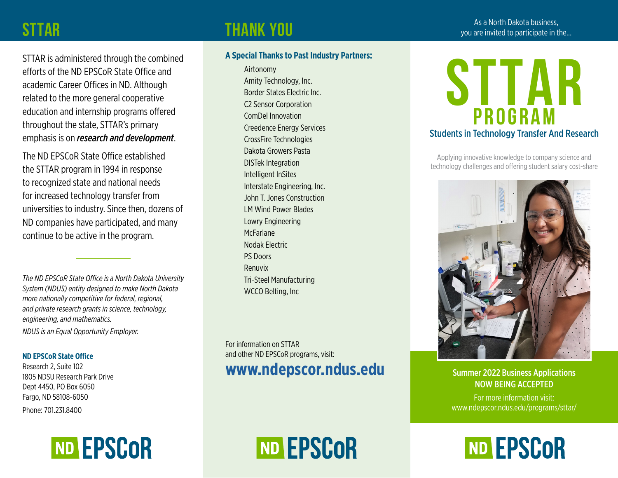#### **STTAR**

# As a North Dakota business, **THANK YOU**<br>As a North Dakota business, pour are invited to participate in the…

STTAR is administered through the combined efforts of the ND EPSCoR State Office and academic Career Offices in ND. Although related to the more general cooperative education and internship programs offered throughout the state, STTAR's primary emphasis is on *research and development*.

The ND EPSCoR State Office established the STTAR program in 1994 in response to recognized state and national needs for increased technology transfer from universities to industry. Since then, dozens of ND companies have participated, and many continue to be active in the program.

*The ND EPSCoR State Office is a North Dakota University System (NDUS) entity designed to make North Dakota more nationally competitive for federal, regional, and private research grants in science, technology, engineering, and mathematics.* 

*NDUS is an Equal Opportunity Employer.*

#### **ND EPSCoR State Office**

Research 2, Suite 102 1805 NDSU Research Park Drive Dept 4450, PO Box 6050 Fargo, ND 58108-6050

Phone: 701.231.8400



#### **A Special Thanks to Past Industry Partners:**

Airtonomy Amity Technology, Inc. Border States Electric Inc. C2 Sensor Corporation ComDel Innovation Creedence Energy Services CrossFire Technologies Dakota Growers Pasta DISTek Integration Intelligent InSites Interstate Engineering, Inc. John T. Jones Construction LM Wind Power Blades Lowry Engineering **McFarlane** Nodak Electric PS Doors Renuvix Tri-Steel Manufacturing WCCO Belting, Inc

For information on STTAR and other ND EPSCoR programs, visit: **[www.ndepscor.ndus.edu](http://www.ndepscor.ndus.edu)**

ND EPSCOR



Applying innovative knowledge to company science and technology challenges and offering student salary cost-share



Summer 2022 Business Applications NOW BEING ACCEPTED

For more information visit: <www.ndepscor.ndus.edu/programs/sttar/>